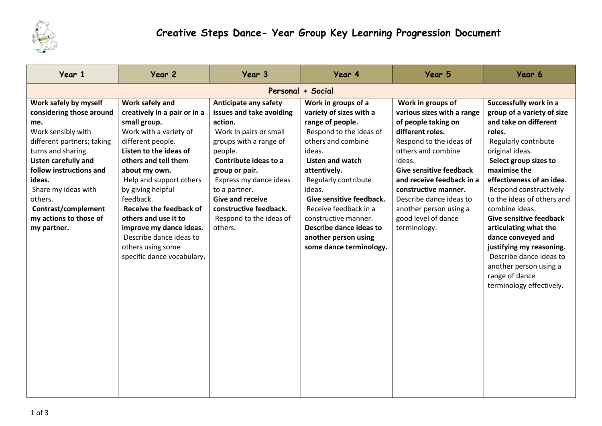

| Year 1                                                                                                                                                                                                                                                                                            | Year 2                                                                                                                                                                                                                                                                                                                                                                                                            | Year 3                                                                                                                                                                                                                                                                                                       | Year 4                                                                                                                                                                                                                                                                                                                                                                | Year 5                                                                                                                                                                                                                                                                                                                                   | Year 6                                                                                                                                                                                                                                                                                                                                                                                                                                                                                             |  |  |  |
|---------------------------------------------------------------------------------------------------------------------------------------------------------------------------------------------------------------------------------------------------------------------------------------------------|-------------------------------------------------------------------------------------------------------------------------------------------------------------------------------------------------------------------------------------------------------------------------------------------------------------------------------------------------------------------------------------------------------------------|--------------------------------------------------------------------------------------------------------------------------------------------------------------------------------------------------------------------------------------------------------------------------------------------------------------|-----------------------------------------------------------------------------------------------------------------------------------------------------------------------------------------------------------------------------------------------------------------------------------------------------------------------------------------------------------------------|------------------------------------------------------------------------------------------------------------------------------------------------------------------------------------------------------------------------------------------------------------------------------------------------------------------------------------------|----------------------------------------------------------------------------------------------------------------------------------------------------------------------------------------------------------------------------------------------------------------------------------------------------------------------------------------------------------------------------------------------------------------------------------------------------------------------------------------------------|--|--|--|
| Personal + Social                                                                                                                                                                                                                                                                                 |                                                                                                                                                                                                                                                                                                                                                                                                                   |                                                                                                                                                                                                                                                                                                              |                                                                                                                                                                                                                                                                                                                                                                       |                                                                                                                                                                                                                                                                                                                                          |                                                                                                                                                                                                                                                                                                                                                                                                                                                                                                    |  |  |  |
| Work safely by myself<br>considering those around<br>me.<br>Work sensibly with<br>different partners; taking<br>turns and sharing.<br>Listen carefully and<br>follow instructions and<br>ideas.<br>Share my ideas with<br>others.<br>Contrast/complement<br>my actions to those of<br>my partner. | Work safely and<br>creatively in a pair or in a<br>small group.<br>Work with a variety of<br>different people.<br>Listen to the ideas of<br>others and tell them<br>about my own.<br>Help and support others<br>by giving helpful<br>feedback.<br><b>Receive the feedback of</b><br>others and use it to<br>improve my dance ideas.<br>Describe dance ideas to<br>others using some<br>specific dance vocabulary. | Anticipate any safety<br>issues and take avoiding<br>action.<br>Work in pairs or small<br>groups with a range of<br>people.<br>Contribute ideas to a<br>group or pair.<br>Express my dance ideas<br>to a partner.<br><b>Give and receive</b><br>constructive feedback.<br>Respond to the ideas of<br>others. | Work in groups of a<br>variety of sizes with a<br>range of people.<br>Respond to the ideas of<br>others and combine<br>ideas.<br><b>Listen and watch</b><br>attentively.<br>Regularly contribute<br>ideas.<br>Give sensitive feedback.<br>Receive feedback in a<br>constructive manner.<br>Describe dance ideas to<br>another person using<br>some dance terminology. | Work in groups of<br>various sizes with a range<br>of people taking on<br>different roles.<br>Respond to the ideas of<br>others and combine<br>ideas.<br><b>Give sensitive feedback</b><br>and receive feedback in a<br>constructive manner.<br>Describe dance ideas to<br>another person using a<br>good level of dance<br>terminology. | Successfully work in a<br>group of a variety of size<br>and take on different<br>roles.<br>Regularly contribute<br>original ideas.<br>Select group sizes to<br>maximise the<br>effectiveness of an idea.<br>Respond constructively<br>to the ideas of others and<br>combine ideas.<br><b>Give sensitive feedback</b><br>articulating what the<br>dance conveyed and<br>justifying my reasoning.<br>Describe dance ideas to<br>another person using a<br>range of dance<br>terminology effectively. |  |  |  |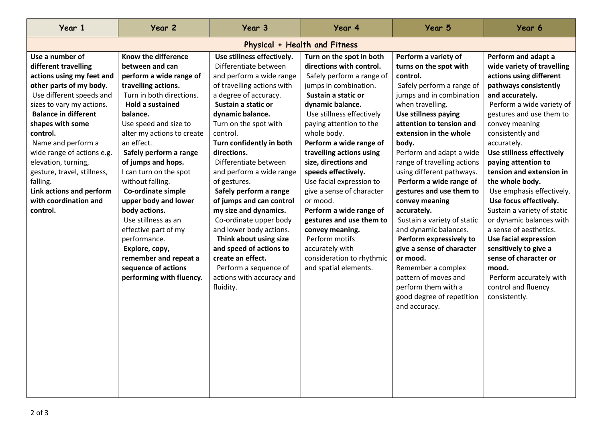| Year 1                                                                                                                                                                                                                                                                                                                                                                                                         | Year 2                                                                                                                                                                                                                                                                                                                                                                                                                                                                                                                                                     | Year 3                                                                                                                                                                                                                                                                                                                                                                                                                                                                                                                                                                                                                  | Year 4                                                                                                                                                                                                                                                                                                                                                                                                                                                                                                                                                                       | Year 5                                                                                                                                                                                                                                                                                                                                                                                                                                                                                                                                                                                                                                                        | Year 6                                                                                                                                                                                                                                                                                                                                                                                                                                                                                                                                                                                                                                              |  |  |
|----------------------------------------------------------------------------------------------------------------------------------------------------------------------------------------------------------------------------------------------------------------------------------------------------------------------------------------------------------------------------------------------------------------|------------------------------------------------------------------------------------------------------------------------------------------------------------------------------------------------------------------------------------------------------------------------------------------------------------------------------------------------------------------------------------------------------------------------------------------------------------------------------------------------------------------------------------------------------------|-------------------------------------------------------------------------------------------------------------------------------------------------------------------------------------------------------------------------------------------------------------------------------------------------------------------------------------------------------------------------------------------------------------------------------------------------------------------------------------------------------------------------------------------------------------------------------------------------------------------------|------------------------------------------------------------------------------------------------------------------------------------------------------------------------------------------------------------------------------------------------------------------------------------------------------------------------------------------------------------------------------------------------------------------------------------------------------------------------------------------------------------------------------------------------------------------------------|---------------------------------------------------------------------------------------------------------------------------------------------------------------------------------------------------------------------------------------------------------------------------------------------------------------------------------------------------------------------------------------------------------------------------------------------------------------------------------------------------------------------------------------------------------------------------------------------------------------------------------------------------------------|-----------------------------------------------------------------------------------------------------------------------------------------------------------------------------------------------------------------------------------------------------------------------------------------------------------------------------------------------------------------------------------------------------------------------------------------------------------------------------------------------------------------------------------------------------------------------------------------------------------------------------------------------------|--|--|
| Physical + Health and Fitness                                                                                                                                                                                                                                                                                                                                                                                  |                                                                                                                                                                                                                                                                                                                                                                                                                                                                                                                                                            |                                                                                                                                                                                                                                                                                                                                                                                                                                                                                                                                                                                                                         |                                                                                                                                                                                                                                                                                                                                                                                                                                                                                                                                                                              |                                                                                                                                                                                                                                                                                                                                                                                                                                                                                                                                                                                                                                                               |                                                                                                                                                                                                                                                                                                                                                                                                                                                                                                                                                                                                                                                     |  |  |
| Use a number of<br>different travelling<br>actions using my feet and<br>other parts of my body.<br>Use different speeds and<br>sizes to vary my actions.<br><b>Balance in different</b><br>shapes with some<br>control.<br>Name and perform a<br>wide range of actions e.g.<br>elevation, turning,<br>gesture, travel, stillness,<br>falling.<br>Link actions and perform<br>with coordination and<br>control. | Know the difference<br>between and can<br>perform a wide range of<br>travelling actions.<br>Turn in both directions.<br><b>Hold a sustained</b><br>balance.<br>Use speed and size to<br>alter my actions to create<br>an effect.<br>Safely perform a range<br>of jumps and hops.<br>I can turn on the spot<br>without falling.<br>Co-ordinate simple<br>upper body and lower<br>body actions.<br>Use stillness as an<br>effective part of my<br>performance.<br>Explore, copy,<br>remember and repeat a<br>sequence of actions<br>performing with fluency. | Use stillness effectively.<br>Differentiate between<br>and perform a wide range<br>of travelling actions with<br>a degree of accuracy.<br>Sustain a static or<br>dynamic balance.<br>Turn on the spot with<br>control.<br>Turn confidently in both<br>directions.<br>Differentiate between<br>and perform a wide range<br>of gestures.<br>Safely perform a range<br>of jumps and can control<br>my size and dynamics.<br>Co-ordinate upper body<br>and lower body actions.<br>Think about using size<br>and speed of actions to<br>create an effect.<br>Perform a sequence of<br>actions with accuracy and<br>fluidity. | Turn on the spot in both<br>directions with control.<br>Safely perform a range of<br>jumps in combination.<br>Sustain a static or<br>dynamic balance.<br>Use stillness effectively<br>paying attention to the<br>whole body.<br>Perform a wide range of<br>travelling actions using<br>size, directions and<br>speeds effectively.<br>Use facial expression to<br>give a sense of character<br>or mood.<br>Perform a wide range of<br>gestures and use them to<br>convey meaning.<br>Perform motifs<br>accurately with<br>consideration to rhythmic<br>and spatial elements. | Perform a variety of<br>turns on the spot with<br>control.<br>Safely perform a range of<br>jumps and in combination<br>when travelling.<br>Use stillness paying<br>attention to tension and<br>extension in the whole<br>body.<br>Perform and adapt a wide<br>range of travelling actions<br>using different pathways.<br>Perform a wide range of<br>gestures and use them to<br>convey meaning<br>accurately.<br>Sustain a variety of static<br>and dynamic balances.<br>Perform expressively to<br>give a sense of character<br>or mood.<br>Remember a complex<br>pattern of moves and<br>perform them with a<br>good degree of repetition<br>and accuracy. | Perform and adapt a<br>wide variety of travelling<br>actions using different<br>pathways consistently<br>and accurately.<br>Perform a wide variety of<br>gestures and use them to<br>convey meaning<br>consistently and<br>accurately.<br>Use stillness effectively<br>paying attention to<br>tension and extension in<br>the whole body.<br>Use emphasis effectively.<br>Use focus effectively.<br>Sustain a variety of static<br>or dynamic balances with<br>a sense of aesthetics.<br><b>Use facial expression</b><br>sensitively to give a<br>sense of character or<br>mood.<br>Perform accurately with<br>control and fluency<br>consistently. |  |  |
|                                                                                                                                                                                                                                                                                                                                                                                                                |                                                                                                                                                                                                                                                                                                                                                                                                                                                                                                                                                            |                                                                                                                                                                                                                                                                                                                                                                                                                                                                                                                                                                                                                         |                                                                                                                                                                                                                                                                                                                                                                                                                                                                                                                                                                              |                                                                                                                                                                                                                                                                                                                                                                                                                                                                                                                                                                                                                                                               |                                                                                                                                                                                                                                                                                                                                                                                                                                                                                                                                                                                                                                                     |  |  |